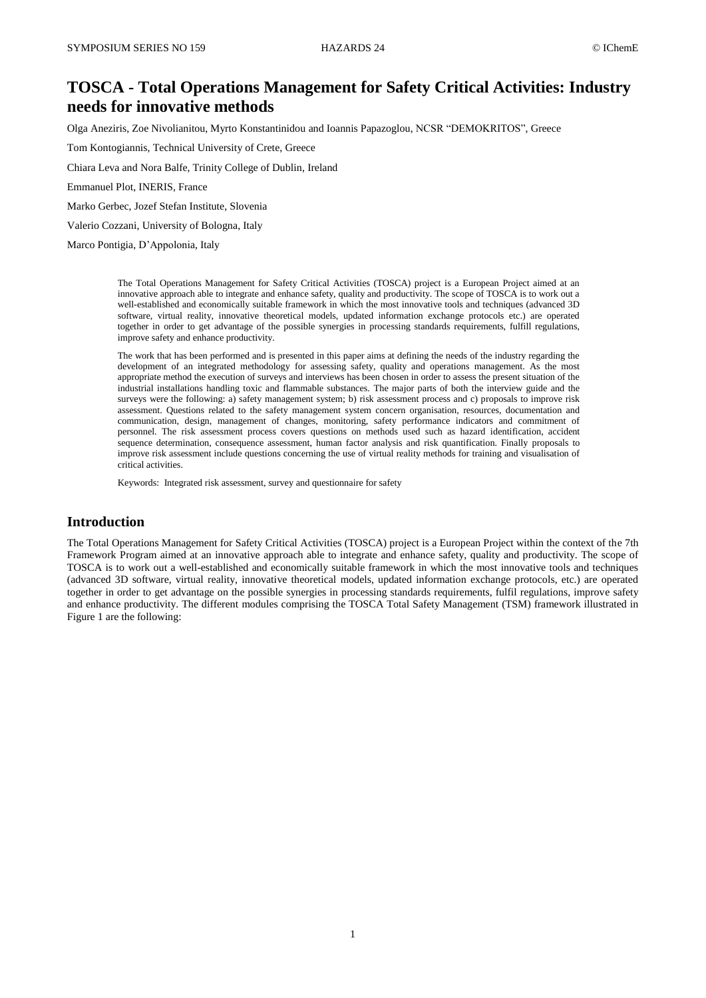# **TOSCA - Total Operations Management for Safety Critical Activities: Industry needs for innovative methods**

Olga Aneziris, Zoe Nivolianitou, Myrto Konstantinidou and Ioannis Papazoglou, NCSR "DEMOKRITOS", Greece

Tom Kontogiannis, Technical University of Crete, Greece

Chiara Leva and Nora Balfe, Trinity College of Dublin, Ireland

Emmanuel Plot, INERIS, France

Marko Gerbec, Jozef Stefan Institute, Slovenia

Valerio Cozzani, University of Bologna, Italy

Marco Pontigia, D'Appolonia, Italy

The Total Operations Management for Safety Critical Activities (TOSCA) project is a European Project aimed at an innovative approach able to integrate and enhance safety, quality and productivity. The scope of TOSCA is to work out a well-established and economically suitable framework in which the most innovative tools and techniques (advanced 3D software, virtual reality, innovative theoretical models, updated information exchange protocols etc.) are operated together in order to get advantage of the possible synergies in processing standards requirements, fulfill regulations, improve safety and enhance productivity.

The work that has been performed and is presented in this paper aims at defining the needs of the industry regarding the development of an integrated methodology for assessing safety, quality and operations management. As the most appropriate method the execution of surveys and interviews has been chosen in order to assess the present situation of the industrial installations handling toxic and flammable substances. The major parts of both the interview guide and the surveys were the following: a) safety management system; b) risk assessment process and c) proposals to improve risk assessment. Questions related to the safety management system concern organisation, resources, documentation and communication, design, management of changes, monitoring, safety performance indicators and commitment of personnel. The risk assessment process covers questions on methods used such as hazard identification, accident sequence determination, consequence assessment, human factor analysis and risk quantification. Finally proposals to improve risk assessment include questions concerning the use of virtual reality methods for training and visualisation of critical activities.

Keywords: Integrated risk assessment, survey and questionnaire for safety

## **Introduction**

The Total Operations Management for Safety Critical Activities (TOSCA) project is a European Project within the context of the 7th Framework Program aimed at an innovative approach able to integrate and enhance safety, quality and productivity. The scope of TOSCA is to work out a well-established and economically suitable framework in which the most innovative tools and techniques (advanced 3D software, virtual reality, innovative theoretical models, updated information exchange protocols, etc.) are operated together in order to get advantage on the possible synergies in processing standards requirements, fulfil regulations, improve safety and enhance productivity. The different modules comprising the TOSCA Total Safety Management (TSM) framework illustrated in Figure 1 are the following: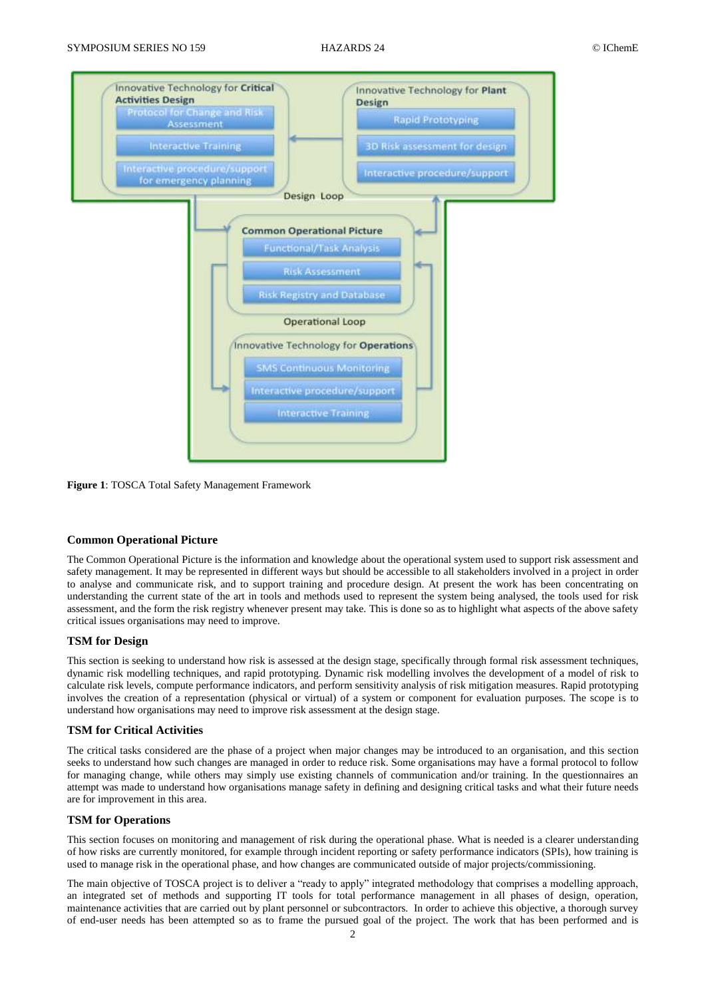

**Figure 1**: TOSCA Total Safety Management Framework

## **Common Operational Picture**

The Common Operational Picture is the information and knowledge about the operational system used to support risk assessment and safety management. It may be represented in different ways but should be accessible to all stakeholders involved in a project in order to analyse and communicate risk, and to support training and procedure design. At present the work has been concentrating on understanding the current state of the art in tools and methods used to represent the system being analysed, the tools used for risk assessment, and the form the risk registry whenever present may take. This is done so as to highlight what aspects of the above safety critical issues organisations may need to improve.

### **TSM for Design**

This section is seeking to understand how risk is assessed at the design stage, specifically through formal risk assessment techniques, dynamic risk modelling techniques, and rapid prototyping. Dynamic risk modelling involves the development of a model of risk to calculate risk levels, compute performance indicators, and perform sensitivity analysis of risk mitigation measures. Rapid prototyping involves the creation of a representation (physical or virtual) of a system or component for evaluation purposes. The scope is to understand how organisations may need to improve risk assessment at the design stage.

## **TSM for Critical Activities**

The critical tasks considered are the phase of a project when major changes may be introduced to an organisation, and this section seeks to understand how such changes are managed in order to reduce risk. Some organisations may have a formal protocol to follow for managing change, while others may simply use existing channels of communication and/or training. In the questionnaires an attempt was made to understand how organisations manage safety in defining and designing critical tasks and what their future needs are for improvement in this area.

### **TSM for Operations**

This section focuses on monitoring and management of risk during the operational phase. What is needed is a clearer understanding of how risks are currently monitored, for example through incident reporting or safety performance indicators (SPIs), how training is used to manage risk in the operational phase, and how changes are communicated outside of major projects/commissioning.

The main objective of TOSCA project is to deliver a "ready to apply" integrated methodology that comprises a modelling approach, an integrated set of methods and supporting IT tools for total performance management in all phases of design, operation, maintenance activities that are carried out by plant personnel or subcontractors. In order to achieve this objective, a thorough survey of end-user needs has been attempted so as to frame the pursued goal of the project. The work that has been performed and is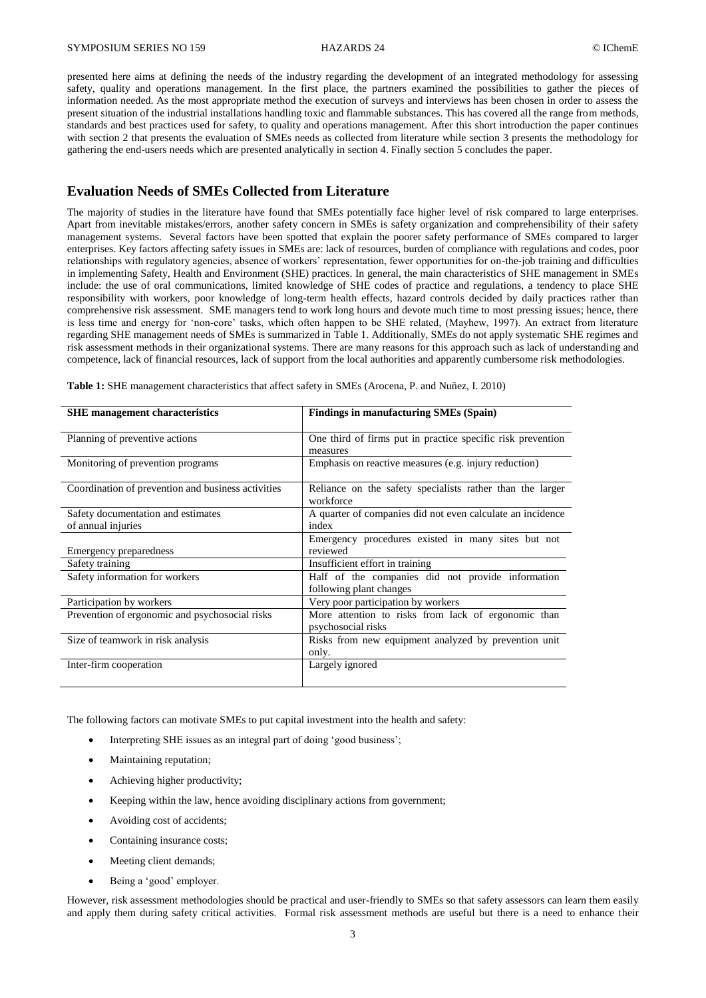presented here aims at defining the needs of the industry regarding the development of an integrated methodology for assessing safety, quality and operations management. In the first place, the partners examined the possibilities to gather the pieces of information needed. As the most appropriate method the execution of surveys and interviews has been chosen in order to assess the present situation of the industrial installations handling toxic and flammable substances. This has covered all the range from methods, standards and best practices used for safety, to quality and operations management. After this short introduction the paper continues with section 2 that presents the evaluation of SMEs needs as collected from literature while section 3 presents the methodology for gathering the end-users needs which are presented analytically in section 4. Finally section 5 concludes the paper.

## **Evaluation Needs of SMEs Collected from Literature**

The majority of studies in the literature have found that SMEs potentially face higher level of risk compared to large enterprises. Apart from inevitable mistakes/errors, another safety concern in SMEs is safety organization and comprehensibility of their safety management systems. Several factors have been spotted that explain the poorer safety performance of SMEs compared to larger enterprises. Key factors affecting safety issues in SMEs are: lack of resources, burden of compliance with regulations and codes, poor relationships with regulatory agencies, absence of workers' representation, fewer opportunities for on-the-job training and difficulties in implementing Safety, Health and Environment (SHE) practices. In general, the main characteristics of SHE management in SMEs include: the use of oral communications, limited knowledge of SHE codes of practice and regulations, a tendency to place SHE responsibility with workers, poor knowledge of long-term health effects, hazard controls decided by daily practices rather than comprehensive risk assessment. SME managers tend to work long hours and devote much time to most pressing issues; hence, there is less time and energy for 'non-core' tasks, which often happen to be SHE related, (Mayhew, 1997). An extract from literature regarding SHE management needs of SMEs is summarized in Table 1. Additionally, SMEs do not apply systematic SHE regimes and risk assessment methods in their organizational systems. There are many reasons for this approach such as lack of understanding and competence, lack of financial resources, lack of support from the local authorities and apparently cumbersome risk methodologies.

| <b>SHE</b> management characteristics              | <b>Findings in manufacturing SMEs (Spain)</b>                             |
|----------------------------------------------------|---------------------------------------------------------------------------|
| Planning of preventive actions                     | One third of firms put in practice specific risk prevention               |
|                                                    | measures                                                                  |
| Monitoring of prevention programs                  | Emphasis on reactive measures (e.g. injury reduction)                     |
| Coordination of prevention and business activities | Reliance on the safety specialists rather than the larger<br>workforce    |
| Safety documentation and estimates                 | A quarter of companies did not even calculate an incidence                |
| of annual injuries                                 | index                                                                     |
|                                                    | Emergency procedures existed in many sites but not                        |
| Emergency preparedness                             | reviewed                                                                  |
| Safety training                                    | Insufficient effort in training                                           |
| Safety information for workers                     | Half of the companies did not provide information                         |
|                                                    | following plant changes                                                   |
| Participation by workers                           | Very poor participation by workers                                        |
| Prevention of ergonomic and psychosocial risks     | More attention to risks from lack of ergonomic than<br>psychosocial risks |
| Size of teamwork in risk analysis                  | Risks from new equipment analyzed by prevention unit                      |
|                                                    | only.                                                                     |
| Inter-firm cooperation                             | Largely ignored                                                           |
|                                                    |                                                                           |

**Table 1:** SHE management characteristics that affect safety in SMEs (Arocena, P. and Nuñez, I. 2010)

The following factors can motivate SMEs to put capital investment into the health and safety:

- Interpreting SHE issues as an integral part of doing 'good business';
- Maintaining reputation;
- Achieving higher productivity;
- Keeping within the law, hence avoiding disciplinary actions from government;
- Avoiding cost of accidents;
- Containing insurance costs;
- Meeting client demands;
- Being a 'good' employer.

However, risk assessment methodologies should be practical and user-friendly to SMEs so that safety assessors can learn them easily and apply them during safety critical activities. Formal risk assessment methods are useful but there is a need to enhance their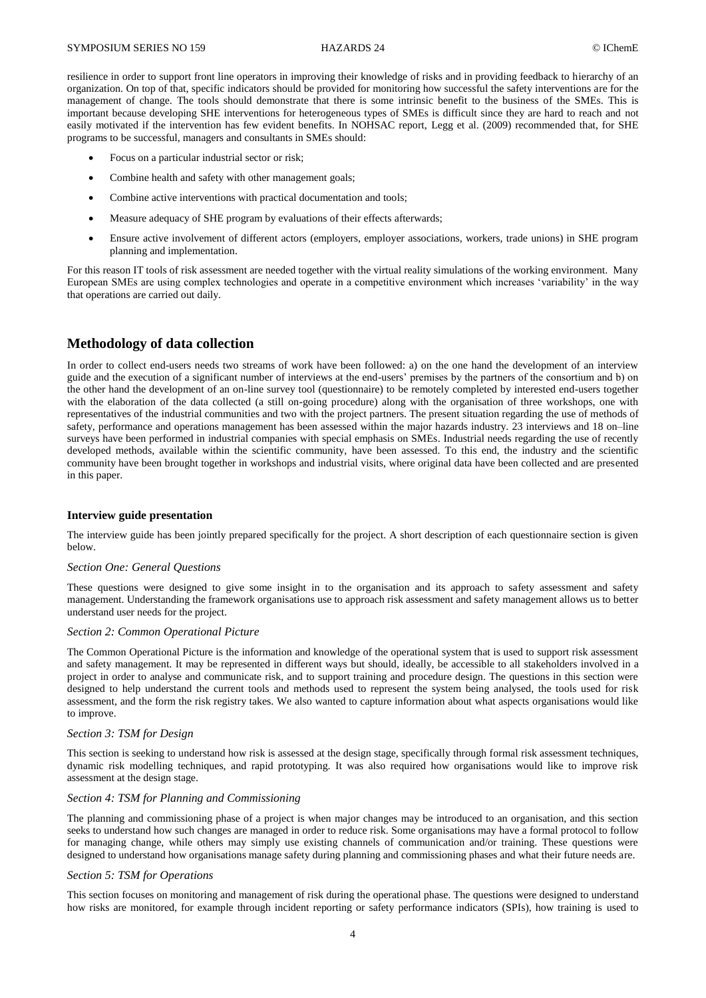resilience in order to support front line operators in improving their knowledge of risks and in providing feedback to hierarchy of an organization. On top of that, specific indicators should be provided for monitoring how successful the safety interventions are for the management of change. The tools should demonstrate that there is some intrinsic benefit to the business of the SMEs. This is important because developing SHE interventions for heterogeneous types of SMEs is difficult since they are hard to reach and not easily motivated if the intervention has few evident benefits. In NOHSAC report, Legg et al. (2009) recommended that, for SHE programs to be successful, managers and consultants in SMEs should:

- Focus on a particular industrial sector or risk;
- Combine health and safety with other management goals;
- Combine active interventions with practical documentation and tools;
- Measure adequacy of SHE program by evaluations of their effects afterwards;
- Ensure active involvement of different actors (employers, employer associations, workers, trade unions) in SHE program planning and implementation.

For this reason IT tools of risk assessment are needed together with the virtual reality simulations of the working environment. Many European SMEs are using complex technologies and operate in a competitive environment which increases 'variability' in the way that operations are carried out daily.

## **Methodology of data collection**

In order to collect end-users needs two streams of work have been followed: a) on the one hand the development of an interview guide and the execution of a significant number of interviews at the end-users' premises by the partners of the consortium and b) on the other hand the development of an on-line survey tool (questionnaire) to be remotely completed by interested end-users together with the elaboration of the data collected (a still on-going procedure) along with the organisation of three workshops, one with representatives of the industrial communities and two with the project partners. The present situation regarding the use of methods of safety, performance and operations management has been assessed within the major hazards industry. 23 interviews and 18 on–line surveys have been performed in industrial companies with special emphasis on SMEs. Industrial needs regarding the use of recently developed methods, available within the scientific community, have been assessed. To this end, the industry and the scientific community have been brought together in workshops and industrial visits, where original data have been collected and are presented in this paper.

#### **Interview guide presentation**

The interview guide has been jointly prepared specifically for the project. A short description of each questionnaire section is given below.

#### *Section One: General Questions*

These questions were designed to give some insight in to the organisation and its approach to safety assessment and safety management. Understanding the framework organisations use to approach risk assessment and safety management allows us to better understand user needs for the project.

#### *Section 2: Common Operational Picture*

The Common Operational Picture is the information and knowledge of the operational system that is used to support risk assessment and safety management. It may be represented in different ways but should, ideally, be accessible to all stakeholders involved in a project in order to analyse and communicate risk, and to support training and procedure design. The questions in this section were designed to help understand the current tools and methods used to represent the system being analysed, the tools used for risk assessment, and the form the risk registry takes. We also wanted to capture information about what aspects organisations would like to improve.

#### *Section 3: TSM for Design*

This section is seeking to understand how risk is assessed at the design stage, specifically through formal risk assessment techniques, dynamic risk modelling techniques, and rapid prototyping. It was also required how organisations would like to improve risk assessment at the design stage.

#### *Section 4: TSM for Planning and Commissioning*

The planning and commissioning phase of a project is when major changes may be introduced to an organisation, and this section seeks to understand how such changes are managed in order to reduce risk. Some organisations may have a formal protocol to follow for managing change, while others may simply use existing channels of communication and/or training. These questions were designed to understand how organisations manage safety during planning and commissioning phases and what their future needs are.

#### *Section 5: TSM for Operations*

This section focuses on monitoring and management of risk during the operational phase. The questions were designed to understand how risks are monitored, for example through incident reporting or safety performance indicators (SPIs), how training is used to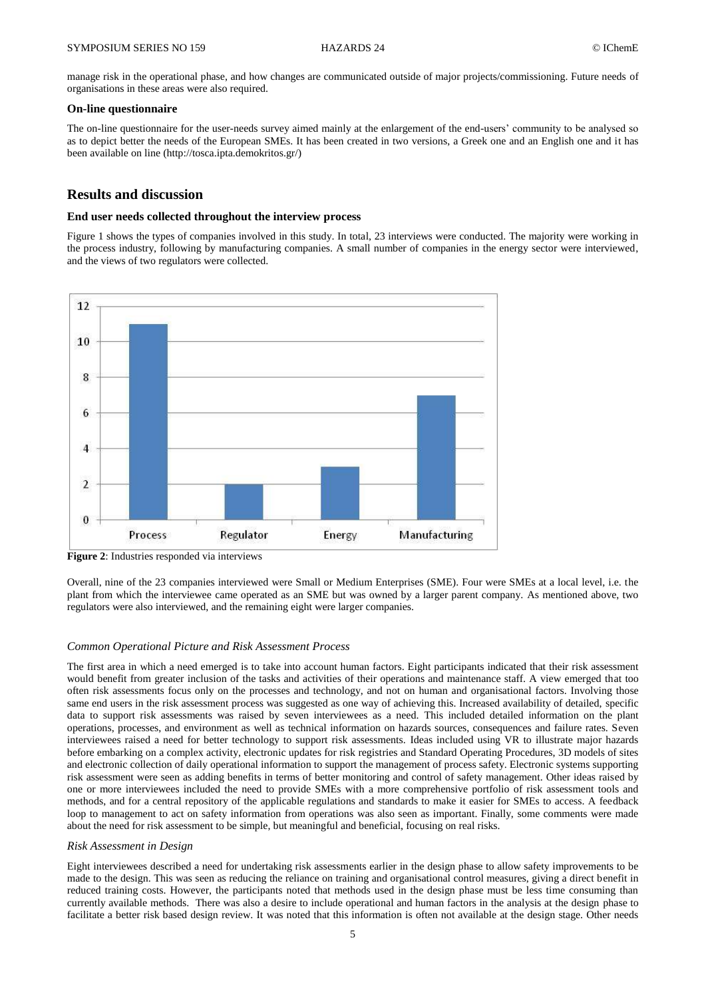manage risk in the operational phase, and how changes are communicated outside of major projects/commissioning. Future needs of organisations in these areas were also required.

#### **On-line questionnaire**

The on-line questionnaire for the user-needs survey aimed mainly at the enlargement of the end-users' community to be analysed so as to depict better the needs of the European SMEs. It has been created in two versions, a Greek one and an English one and it has been available on line [\(http://tosca.ipta.demokritos.gr/\)](http://tosca.ipta.demokritos.gr/)

## **Results and discussion**

#### **End user needs collected throughout the interview process**

Figure 1 shows the types of companies involved in this study. In total, 23 interviews were conducted. The majority were working in the process industry, following by manufacturing companies. A small number of companies in the energy sector were interviewed, and the views of two regulators were collected.



**Figure 2**: Industries responded via interviews

Overall, nine of the 23 companies interviewed were Small or Medium Enterprises (SME). Four were SMEs at a local level, i.e. the plant from which the interviewee came operated as an SME but was owned by a larger parent company. As mentioned above, two regulators were also interviewed, and the remaining eight were larger companies.

#### *Common Operational Picture and Risk Assessment Process*

The first area in which a need emerged is to take into account human factors. Eight participants indicated that their risk assessment would benefit from greater inclusion of the tasks and activities of their operations and maintenance staff. A view emerged that too often risk assessments focus only on the processes and technology, and not on human and organisational factors. Involving those same end users in the risk assessment process was suggested as one way of achieving this. Increased availability of detailed, specific data to support risk assessments was raised by seven interviewees as a need. This included detailed information on the plant operations, processes, and environment as well as technical information on hazards sources, consequences and failure rates. Seven interviewees raised a need for better technology to support risk assessments. Ideas included using VR to illustrate major hazards before embarking on a complex activity, electronic updates for risk registries and Standard Operating Procedures, 3D models of sites and electronic collection of daily operational information to support the management of process safety. Electronic systems supporting risk assessment were seen as adding benefits in terms of better monitoring and control of safety management. Other ideas raised by one or more interviewees included the need to provide SMEs with a more comprehensive portfolio of risk assessment tools and methods, and for a central repository of the applicable regulations and standards to make it easier for SMEs to access. A feedback loop to management to act on safety information from operations was also seen as important. Finally, some comments were made about the need for risk assessment to be simple, but meaningful and beneficial, focusing on real risks.

#### *Risk Assessment in Design*

Eight interviewees described a need for undertaking risk assessments earlier in the design phase to allow safety improvements to be made to the design. This was seen as reducing the reliance on training and organisational control measures, giving a direct benefit in reduced training costs. However, the participants noted that methods used in the design phase must be less time consuming than currently available methods. There was also a desire to include operational and human factors in the analysis at the design phase to facilitate a better risk based design review. It was noted that this information is often not available at the design stage. Other needs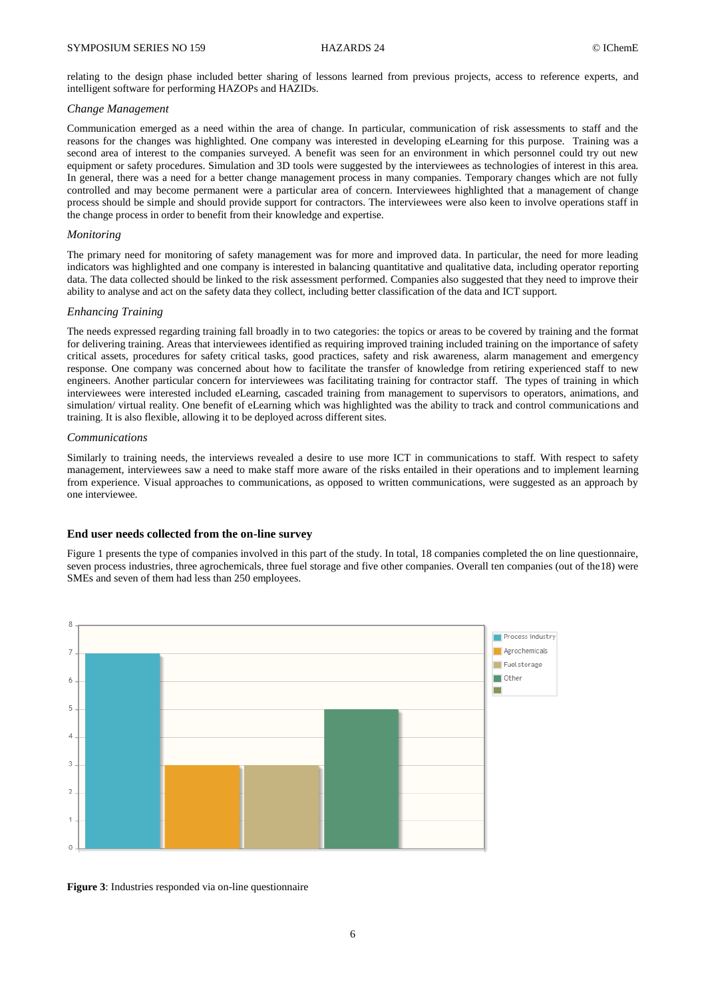relating to the design phase included better sharing of lessons learned from previous projects, access to reference experts, and intelligent software for performing HAZOPs and HAZIDs.

#### *Change Management*

Communication emerged as a need within the area of change. In particular, communication of risk assessments to staff and the reasons for the changes was highlighted. One company was interested in developing eLearning for this purpose. Training was a second area of interest to the companies surveyed. A benefit was seen for an environment in which personnel could try out new equipment or safety procedures. Simulation and 3D tools were suggested by the interviewees as technologies of interest in this area. In general, there was a need for a better change management process in many companies. Temporary changes which are not fully controlled and may become permanent were a particular area of concern. Interviewees highlighted that a management of change process should be simple and should provide support for contractors. The interviewees were also keen to involve operations staff in the change process in order to benefit from their knowledge and expertise.

#### *Monitoring*

The primary need for monitoring of safety management was for more and improved data. In particular, the need for more leading indicators was highlighted and one company is interested in balancing quantitative and qualitative data, including operator reporting data. The data collected should be linked to the risk assessment performed. Companies also suggested that they need to improve their ability to analyse and act on the safety data they collect, including better classification of the data and ICT support.

#### *Enhancing Training*

The needs expressed regarding training fall broadly in to two categories: the topics or areas to be covered by training and the format for delivering training. Areas that interviewees identified as requiring improved training included training on the importance of safety critical assets, procedures for safety critical tasks, good practices, safety and risk awareness, alarm management and emergency response. One company was concerned about how to facilitate the transfer of knowledge from retiring experienced staff to new engineers. Another particular concern for interviewees was facilitating training for contractor staff. The types of training in which interviewees were interested included eLearning, cascaded training from management to supervisors to operators, animations, and simulation/ virtual reality. One benefit of eLearning which was highlighted was the ability to track and control communications and training. It is also flexible, allowing it to be deployed across different sites.

#### *Communications*

Similarly to training needs, the interviews revealed a desire to use more ICT in communications to staff. With respect to safety management, interviewees saw a need to make staff more aware of the risks entailed in their operations and to implement learning from experience. Visual approaches to communications, as opposed to written communications, were suggested as an approach by one interviewee.

### **End user needs collected from the on-line survey**

Figure 1 presents the type of companies involved in this part of the study. In total, 18 companies completed the on line questionnaire, seven process industries, three agrochemicals, three fuel storage and five other companies. Overall ten companies (out of the18) were SMEs and seven of them had less than 250 employees.



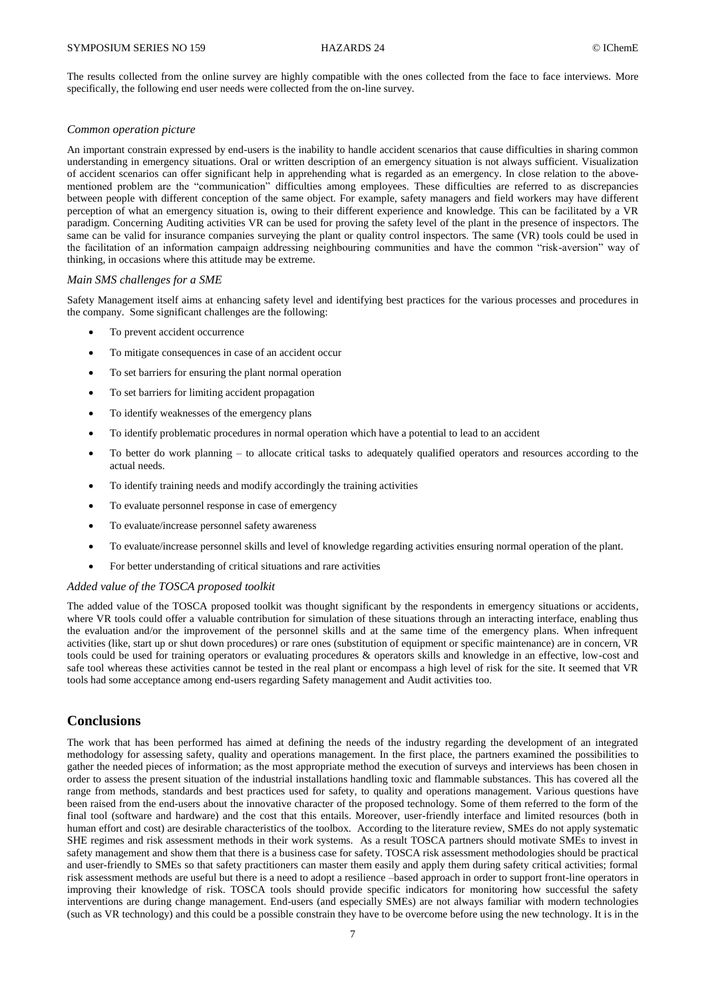The results collected from the online survey are highly compatible with the ones collected from the face to face interviews. More specifically, the following end user needs were collected from the on-line survey.

#### *Common operation picture*

An important constrain expressed by end-users is the inability to handle accident scenarios that cause difficulties in sharing common understanding in emergency situations. Oral or written description of an emergency situation is not always sufficient. Visualization of accident scenarios can offer significant help in apprehending what is regarded as an emergency. In close relation to the abovementioned problem are the "communication" difficulties among employees. These difficulties are referred to as discrepancies between people with different conception of the same object. For example, safety managers and field workers may have different perception of what an emergency situation is, owing to their different experience and knowledge. This can be facilitated by a VR paradigm. Concerning Auditing activities VR can be used for proving the safety level of the plant in the presence of inspectors. The same can be valid for insurance companies surveying the plant or quality control inspectors. The same (VR) tools could be used in the facilitation of an information campaign addressing neighbouring communities and have the common "risk-aversion" way of thinking, in occasions where this attitude may be extreme.

#### *Main SMS challenges for a SME*

Safety Management itself aims at enhancing safety level and identifying best practices for the various processes and procedures in the company. Some significant challenges are the following:

- To prevent accident occurrence
- To mitigate consequences in case of an accident occur
- To set barriers for ensuring the plant normal operation
- To set barriers for limiting accident propagation
- To identify weaknesses of the emergency plans
- To identify problematic procedures in normal operation which have a potential to lead to an accident
- To better do work planning to allocate critical tasks to adequately qualified operators and resources according to the actual needs.
- To identify training needs and modify accordingly the training activities
- To evaluate personnel response in case of emergency
- To evaluate/increase personnel safety awareness
- To evaluate/increase personnel skills and level of knowledge regarding activities ensuring normal operation of the plant.
- For better understanding of critical situations and rare activities

#### *Added value of the TOSCA proposed toolkit*

The added value of the TOSCA proposed toolkit was thought significant by the respondents in emergency situations or accidents, where VR tools could offer a valuable contribution for simulation of these situations through an interacting interface, enabling thus the evaluation and/or the improvement of the personnel skills and at the same time of the emergency plans. When infrequent activities (like, start up or shut down procedures) or rare ones (substitution of equipment or specific maintenance) are in concern, VR tools could be used for training operators or evaluating procedures & operators skills and knowledge in an effective, low-cost and safe tool whereas these activities cannot be tested in the real plant or encompass a high level of risk for the site. It seemed that VR tools had some acceptance among end-users regarding Safety management and Audit activities too.

## **Conclusions**

The work that has been performed has aimed at defining the needs of the industry regarding the development of an integrated methodology for assessing safety, quality and operations management. In the first place, the partners examined the possibilities to gather the needed pieces of information; as the most appropriate method the execution of surveys and interviews has been chosen in order to assess the present situation of the industrial installations handling toxic and flammable substances. This has covered all the range from methods, standards and best practices used for safety, to quality and operations management. Various questions have been raised from the end-users about the innovative character of the proposed technology. Some of them referred to the form of the final tool (software and hardware) and the cost that this entails. Moreover, user-friendly interface and limited resources (both in human effort and cost) are desirable characteristics of the toolbox. According to the literature review, SMEs do not apply systematic SHE regimes and risk assessment methods in their work systems. As a result TOSCA partners should motivate SMEs to invest in safety management and show them that there is a business case for safety. TOSCA risk assessment methodologies should be practical and user-friendly to SMEs so that safety practitioners can master them easily and apply them during safety critical activities; formal risk assessment methods are useful but there is a need to adopt a resilience –based approach in order to support front-line operators in improving their knowledge of risk. TOSCA tools should provide specific indicators for monitoring how successful the safety interventions are during change management. End-users (and especially SMEs) are not always familiar with modern technologies (such as VR technology) and this could be a possible constrain they have to be overcome before using the new technology. It is in the